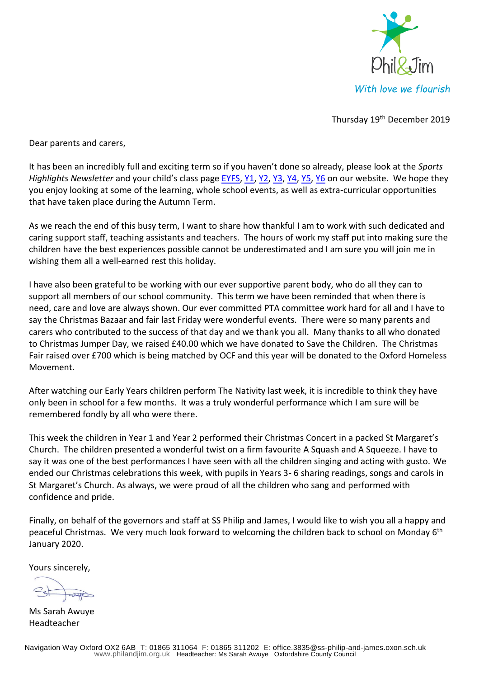

Thursday 19<sup>th</sup> December 2019

Dear parents and carers,

It has been an incredibly full and exciting term so if you haven't done so already, please look at the *Sports Highlights Newsletter* and your child's class page **[EYFS,](https://philandjim.org.uk/classes/eyfs/) [Y1,](https://philandjim.org.uk/classes/class-one/) [Y2,](https://philandjim.org.uk/classes/class-two/) [Y3,](https://philandjim.org.uk/classes/class-three/) [Y4,](https://philandjim.org.uk/classes/class-four/) [Y5,](https://philandjim.org.uk/classes/class-five/) [Y6](https://philandjim.org.uk/classes/year-six/)** on our website. We hope they you enjoy looking at some of the learning, whole school events, as well as extra-curricular opportunities that have taken place during the Autumn Term.

As we reach the end of this busy term, I want to share how thankful I am to work with such dedicated and caring support staff, teaching assistants and teachers. The hours of work my staff put into making sure the children have the best experiences possible cannot be underestimated and I am sure you will join me in wishing them all a well-earned rest this holiday.

I have also been grateful to be working with our ever supportive parent body, who do all they can to support all members of our school community. This term we have been reminded that when there is need, care and love are always shown. Our ever committed PTA committee work hard for all and I have to say the Christmas Bazaar and fair last Friday were wonderful events. There were so many parents and carers who contributed to the success of that day and we thank you all. Many thanks to all who donated to Christmas Jumper Day, we raised £40.00 which we have donated to Save the Children. The Christmas Fair raised over £700 which is being matched by OCF and this year will be donated to the Oxford Homeless Movement.

After watching our Early Years children perform The Nativity last week, it is incredible to think they have only been in school for a few months. It was a truly wonderful performance which I am sure will be remembered fondly by all who were there.

This week the children in Year 1 and Year 2 performed their Christmas Concert in a packed St Margaret's Church. The children presented a wonderful twist on a firm favourite A Squash and A Squeeze. I have to say it was one of the best performances I have seen with all the children singing and acting with gusto. We ended our Christmas celebrations this week, with pupils in Years 3- 6 sharing readings, songs and carols in St Margaret's Church. As always, we were proud of all the children who sang and performed with confidence and pride.

Finally, on behalf of the governors and staff at SS Philip and James, I would like to wish you all a happy and peaceful Christmas. We very much look forward to welcoming the children back to school on Monday 6<sup>th</sup> January 2020.

Yours sincerely,

Ms Sarah Awuye Headteacher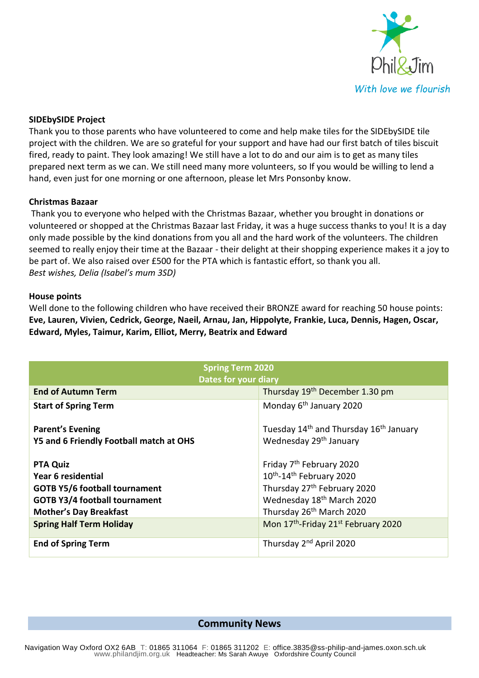

## **SIDEbySIDE Project**

Thank you to those parents who have volunteered to come and help make tiles for the SIDEbySIDE tile project with the children. We are so grateful for your support and have had our first batch of tiles biscuit fired, ready to paint. They look amazing! We still have a lot to do and our aim is to get as many tiles prepared next term as we can. We still need many more volunteers, so If you would be willing to lend a hand, even just for one morning or one afternoon, please let Mrs Ponsonby know.

## **Christmas Bazaar**

Thank you to everyone who helped with the Christmas Bazaar, whether you brought in donations or volunteered or shopped at the Christmas Bazaar last Friday, it was a huge success thanks to you! It is a day only made possible by the kind donations from you all and the hard work of the volunteers. The children seemed to really enjoy their time at the Bazaar - their delight at their shopping experience makes it a joy to be part of. We also raised over £500 for the PTA which is fantastic effort, so thank you all. *Best wishes, Delia (Isabel's mum 3SD)*

## **House points**

Well done to the following children who have received their BRONZE award for reaching 50 house points: **Eve, Lauren, Vivien, Cedrick, George, Naeil, Arnau, Jan, Hippolyte, Frankie, Luca, Dennis, Hagen, Oscar, Edward, Myles, Taimur, Karim, Elliot, Merry, Beatrix and Edward** 

| <b>Spring Term 2020</b>                 |                                                                |
|-----------------------------------------|----------------------------------------------------------------|
| <b>Dates for your diary</b>             |                                                                |
| <b>End of Autumn Term</b>               | Thursday 19 <sup>th</sup> December 1.30 pm                     |
| <b>Start of Spring Term</b>             | Monday 6 <sup>th</sup> January 2020                            |
|                                         |                                                                |
| <b>Parent's Evening</b>                 | Tuesday 14 <sup>th</sup> and Thursday 16 <sup>th</sup> January |
| Y5 and 6 Friendly Football match at OHS | Wednesday 29 <sup>th</sup> January                             |
|                                         |                                                                |
| <b>PTA Quiz</b>                         | Friday 7 <sup>th</sup> February 2020                           |
| Year 6 residential                      | 10 <sup>th</sup> -14 <sup>th</sup> February 2020               |
| <b>GOTB Y5/6 football tournament</b>    | Thursday 27 <sup>th</sup> February 2020                        |
| <b>GOTB Y3/4 football tournament</b>    | Wednesday 18 <sup>th</sup> March 2020                          |
| <b>Mother's Day Breakfast</b>           | Thursday 26 <sup>th</sup> March 2020                           |
| <b>Spring Half Term Holiday</b>         | Mon 17 <sup>th</sup> -Friday 21 <sup>st</sup> February 2020    |
|                                         |                                                                |
| <b>End of Spring Term</b>               | Thursday 2 <sup>nd</sup> April 2020                            |

**Community News**